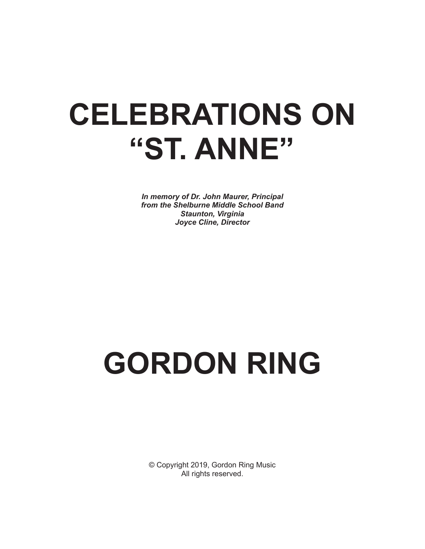## **CELEBRATIONS ON "ST. ANNE"**

*In memory of Dr. John Maurer, Principal from the Shelburne Middle School Band Staunton, Virginia Joyce Cline, Director*

## **GORDON RING**

© Copyright 2019, Gordon Ring Music All rights reserved.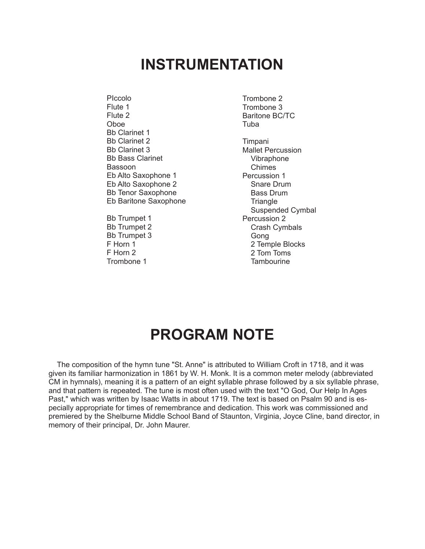## **INSTRUMENTATION**

PIccolo Flute 1 Flute 2 Oboe Bb Clarinet 1 Bb Clarinet 2 Bb Clarinet 3 Bb Bass Clarinet Bassoon Eb Alto Saxophone 1 Eb Alto Saxophone 2 Bb Tenor Saxophone Eb Baritone Saxophone

Bb Trumpet 1 Bb Trumpet 2 Bb Trumpet 3 F Horn 1 F Horn 2 Trombone 1

Trombone 2 Trombone 3 Baritone BC/TC Tuba Timpani Mallet Percussion Vibraphone Chimes Percussion 1 Snare Drum Bass Drum

**Triangle**  Suspended Cymbal Percussion 2 Crash Cymbals Gong 2 Temple Blocks 2 Tom Toms **Tambourine** 

## **PROGRAM NOTE**

 The composition of the hymn tune "St. Anne" is attributed to William Croft in 1718, and it was given its familiar harmonization in 1861 by W. H. Monk. It is a common meter melody (abbreviated CM in hymnals), meaning it is a pattern of an eight syllable phrase followed by a six syllable phrase, and that pattern is repeated. The tune is most often used with the text "O God, Our Help In Ages Past," which was written by Isaac Watts in about 1719. The text is based on Psalm 90 and is especially appropriate for times of remembrance and dedication. This work was commissioned and premiered by the Shelburne Middle School Band of Staunton, Virginia, Joyce Cline, band director, in memory of their principal, Dr. John Maurer.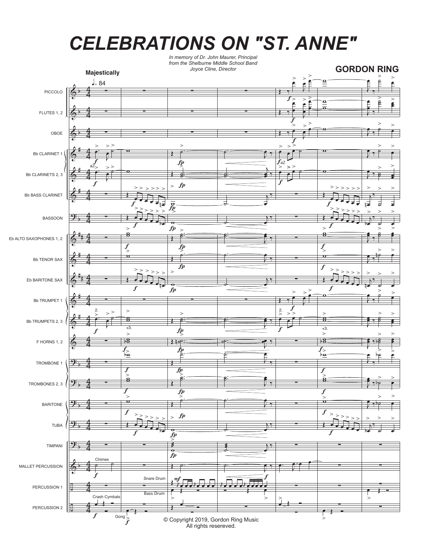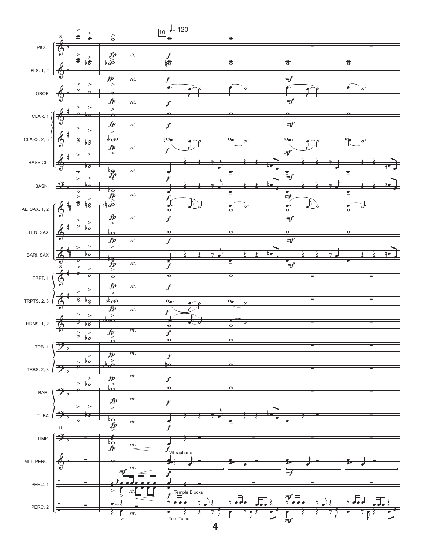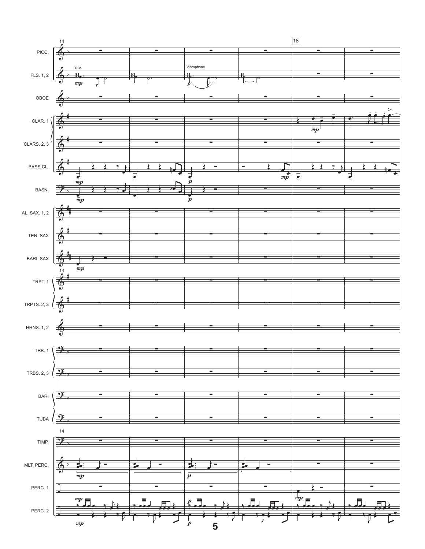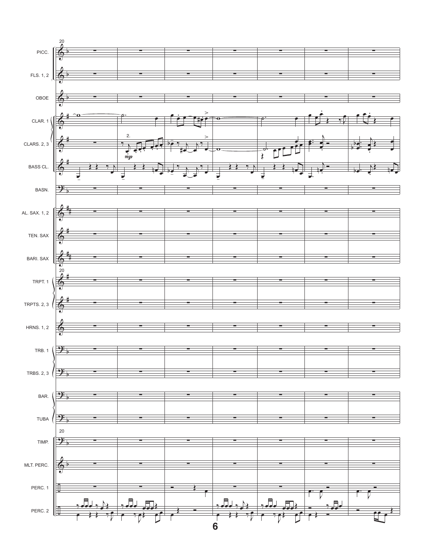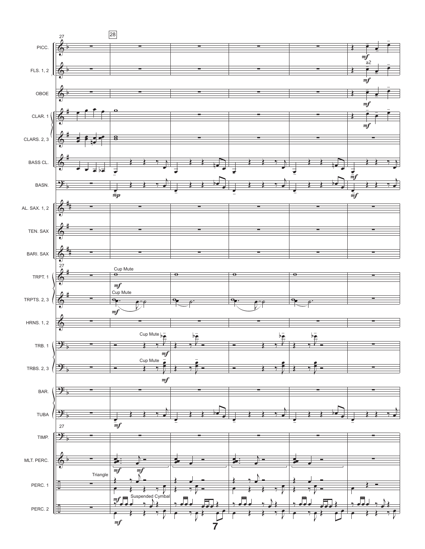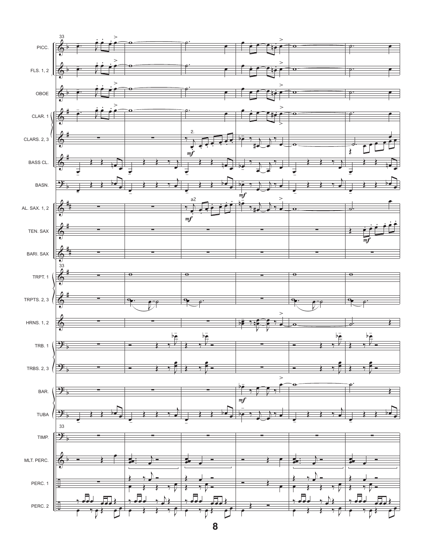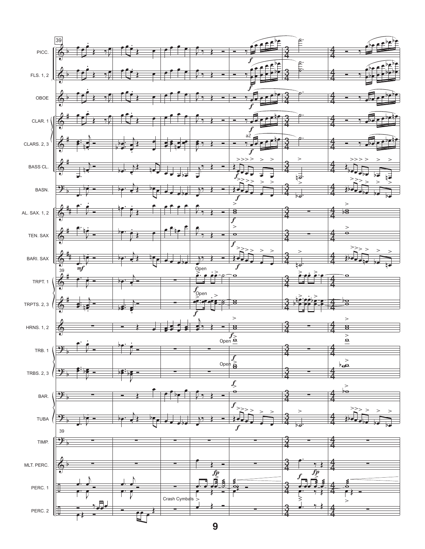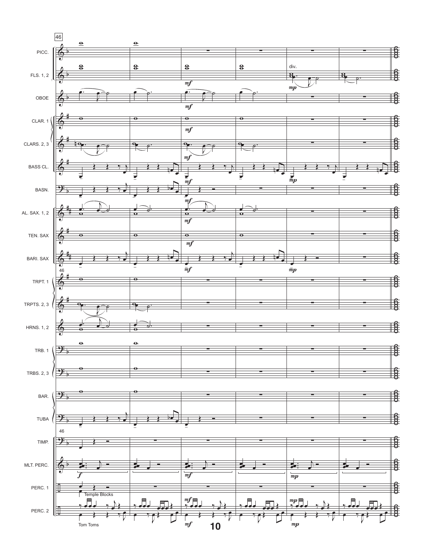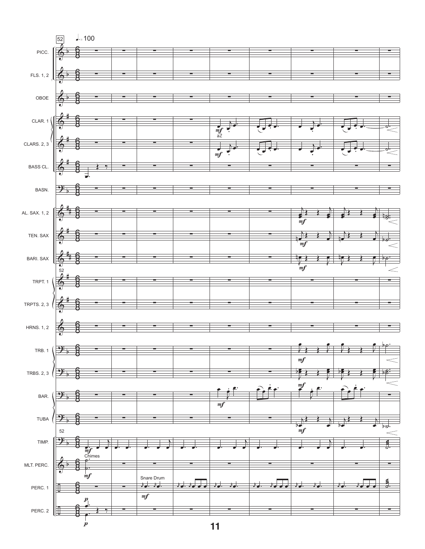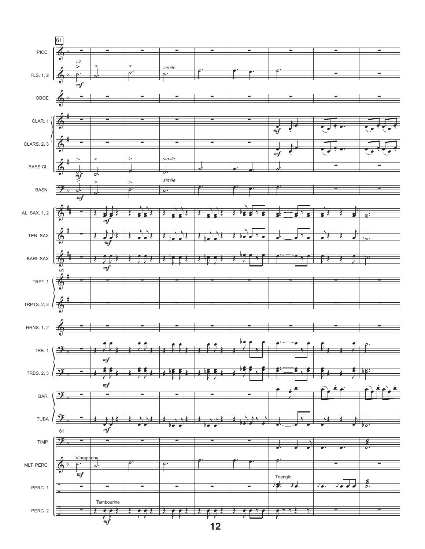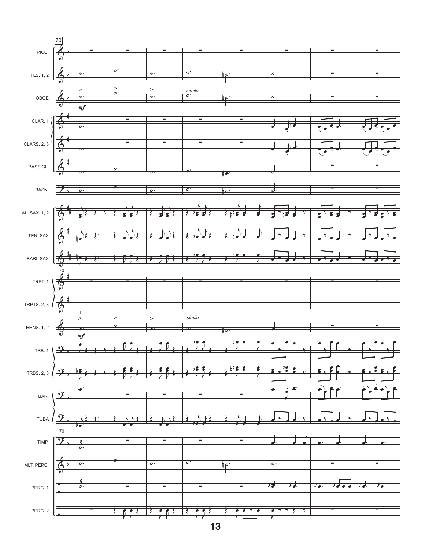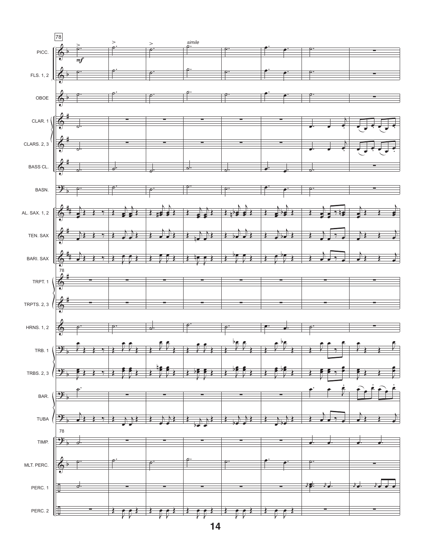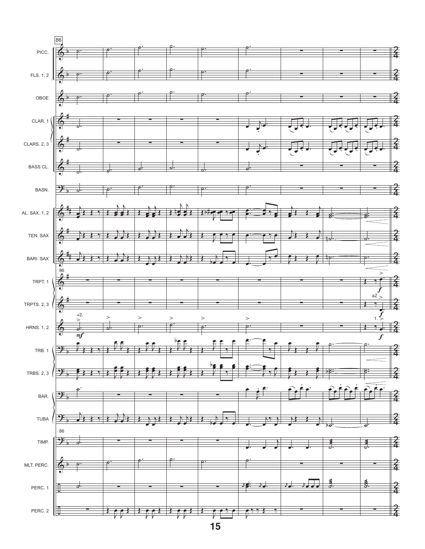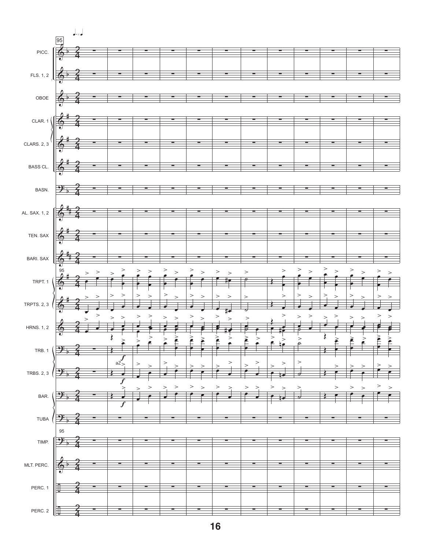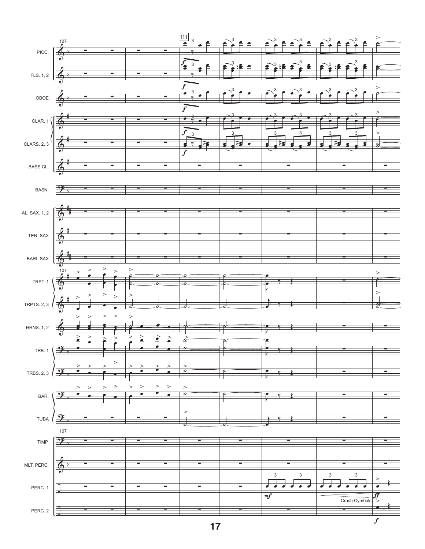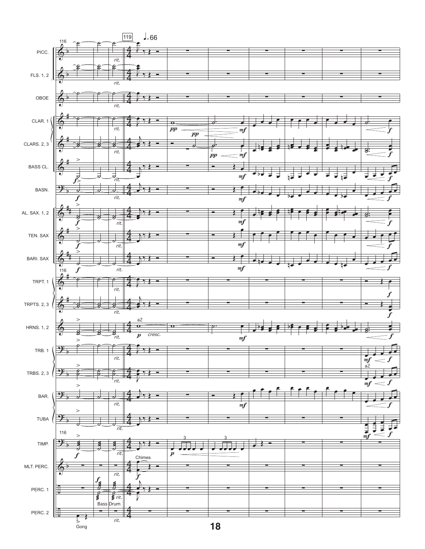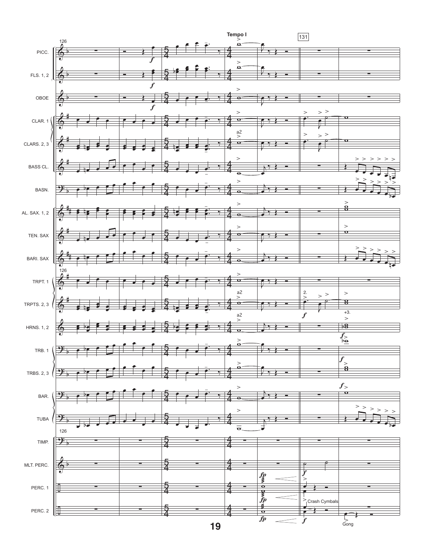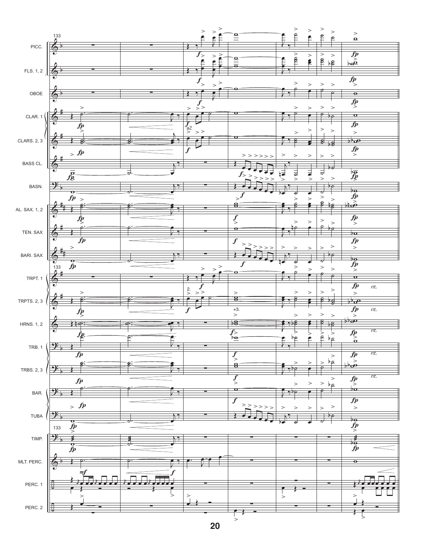